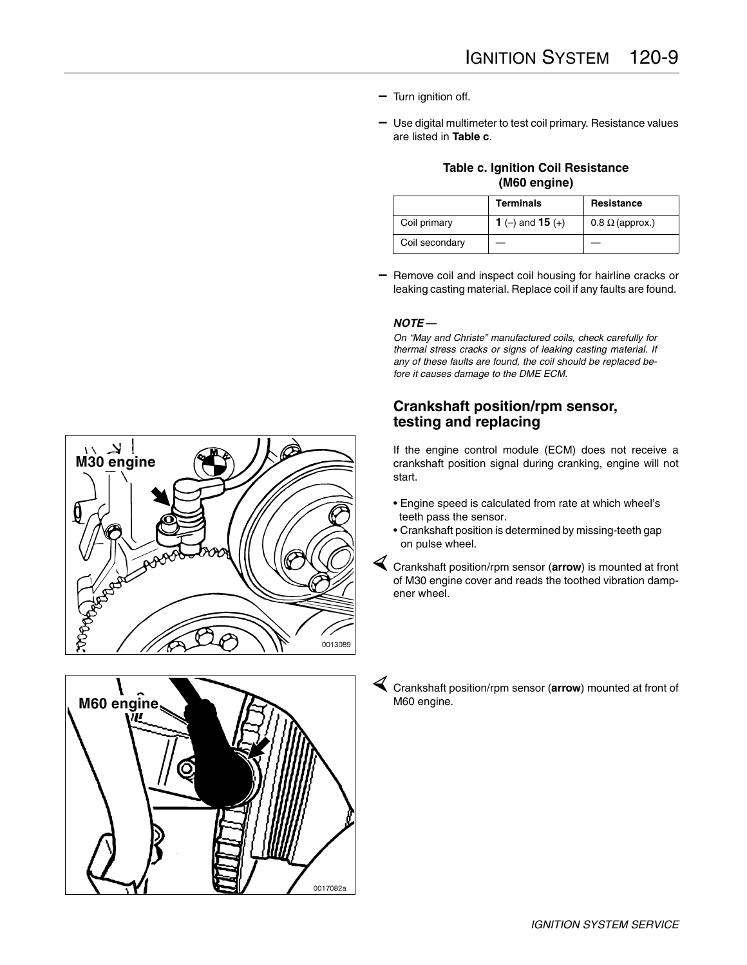- **–** Turn ignition off.
- **–** Use digital multimeter to test coil primary. Resistance values are listed in **Table c**.

|              | <b>Table c. Ignition Coil Resistance</b> |
|--------------|------------------------------------------|
| (M60 engine) |                                          |

|                | <b>Terminals</b> | Resistance             |
|----------------|------------------|------------------------|
| Coil primary   | 1 (-) and 15 (+) | $0.8 \Omega$ (approx.) |
| Coil secondary |                  |                        |

**–** Remove coil and inspect coil housing for hairline cracks or leaking casting material. Replace coil if any faults are found.

## *NOTE* **—**

*On "May and Christe" manufactured coils, check carefully for thermal stress cracks or signs of leaking casting material. If any of these faults are found, the coil should be replaced before it causes damage to the DME ECM.*

## **Crankshaft position/rpm sensor, testing and replacing**

If the engine control module (ECM) does not receive a crankshaft position signal during cranking, engine will not start.

- Engine speed is calculated from rate at which wheel's teeth pass the sensor.
- Crankshaft position is determined by missing-teeth gap on pulse wheel.

½ Crankshaft position/rpm sensor (**arrow**) is mounted at front of M30 engine cover and reads the toothed vibration dampener wheel.

½ Crankshaft position/rpm sensor (**arrow**) mounted at front of M60 engine.